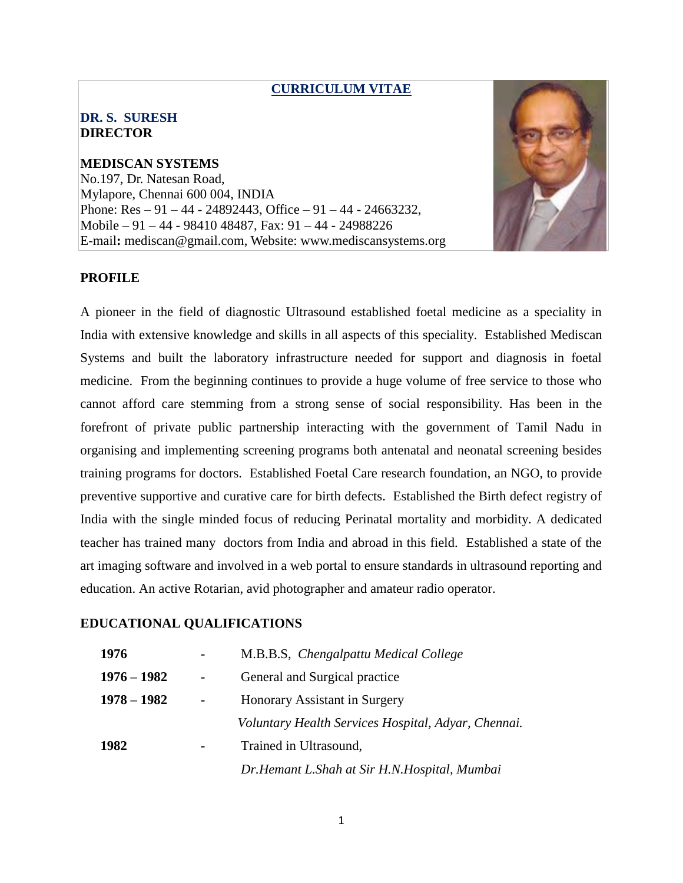### **CURRICULUM VITAE**

## **DR. S. SURESH DIRECTOR**

**MEDISCAN SYSTEMS** No.197, Dr. Natesan Road, Mylapore, Chennai 600 004, INDIA Phone:  $Res - 91 - 44 - 24892443$ , Office  $- 91 - 44 - 24663232$ , Mobile – 91 – 44 - 98410 48487, Fax: 91 – 44 - 24988226 E-mail**:** mediscan@gmail.com, Website: www.mediscansystems.org



## **PROFILE**

A pioneer in the field of diagnostic Ultrasound established foetal medicine as a speciality in India with extensive knowledge and skills in all aspects of this speciality. Established Mediscan Systems and built the laboratory infrastructure needed for support and diagnosis in foetal medicine. From the beginning continues to provide a huge volume of free service to those who cannot afford care stemming from a strong sense of social responsibility. Has been in the forefront of private public partnership interacting with the government of Tamil Nadu in organising and implementing screening programs both antenatal and neonatal screening besides training programs for doctors. Established Foetal Care research foundation, an NGO, to provide preventive supportive and curative care for birth defects. Established the Birth defect registry of India with the single minded focus of reducing Perinatal mortality and morbidity. A dedicated teacher has trained many doctors from India and abroad in this field. Established a state of the art imaging software and involved in a web portal to ensure standards in ultrasound reporting and education. An active Rotarian, avid photographer and amateur radio operator.

### **EDUCATIONAL QUALIFICATIONS**

| 1976          |                | M.B.B.S, Chengalpattu Medical College               |
|---------------|----------------|-----------------------------------------------------|
| $1976 - 1982$ | $\blacksquare$ | General and Surgical practice                       |
| $1978 - 1982$ |                | Honorary Assistant in Surgery                       |
|               |                | Voluntary Health Services Hospital, Adyar, Chennai. |
| 1982          | ۰              | Trained in Ultrasound,                              |
|               |                | Dr. Hemant L. Shah at Sir H.N. Hospital, Mumbai     |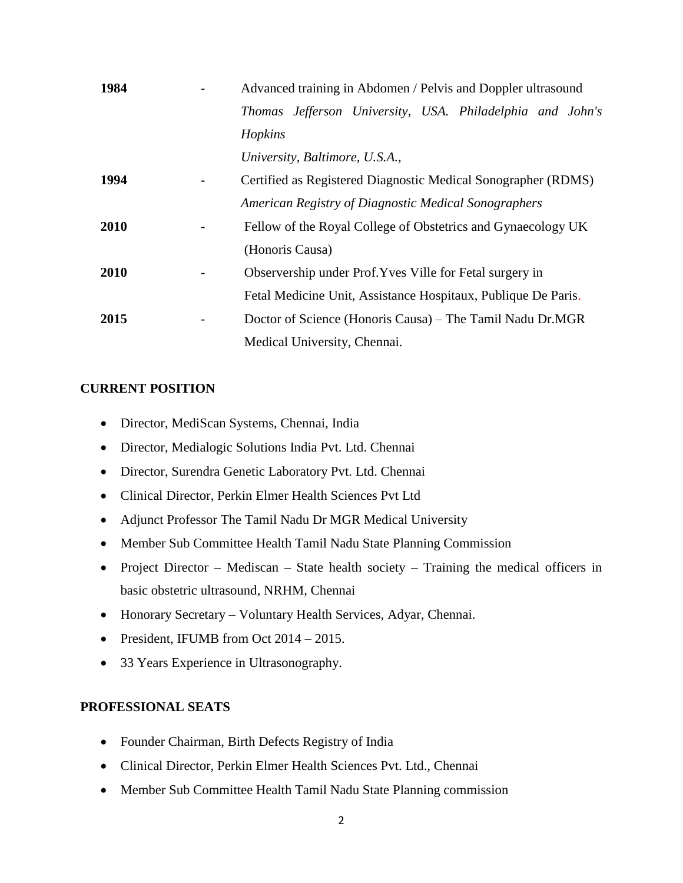| 1984 | Advanced training in Abdomen / Pelvis and Doppler ultrasound  |
|------|---------------------------------------------------------------|
|      | Thomas Jefferson University, USA. Philadelphia and John's     |
|      | Hopkins                                                       |
|      | University, Baltimore, U.S.A.,                                |
| 1994 | Certified as Registered Diagnostic Medical Sonographer (RDMS) |
|      | American Registry of Diagnostic Medical Sonographers          |
| 2010 | Fellow of the Royal College of Obstetrics and Gynaecology UK  |
|      | (Honoris Causa)                                               |
| 2010 | Observership under Prof. Yves Ville for Fetal surgery in      |
|      | Fetal Medicine Unit, Assistance Hospitaux, Publique De Paris. |
| 2015 | Doctor of Science (Honoris Causa) – The Tamil Nadu Dr.MGR     |
|      | Medical University, Chennai.                                  |

# **CURRENT POSITION**

- Director, MediScan Systems, Chennai, India
- Director, Medialogic Solutions India Pvt. Ltd. Chennai
- Director, Surendra Genetic Laboratory Pvt. Ltd. Chennai
- Clinical Director, Perkin Elmer Health Sciences Pvt Ltd
- Adjunct Professor The Tamil Nadu Dr MGR Medical University
- Member Sub Committee Health Tamil Nadu State Planning Commission
- Project Director Mediscan State health society Training the medical officers in basic obstetric ultrasound, NRHM, Chennai
- Honorary Secretary Voluntary Health Services, Adyar, Chennai.
- President, IFUMB from Oct 2014 2015.
- 33 Years Experience in Ultrasonography.

## **PROFESSIONAL SEATS**

- Founder Chairman, Birth Defects Registry of India
- Clinical Director, Perkin Elmer Health Sciences Pvt. Ltd., Chennai
- Member Sub Committee Health Tamil Nadu State Planning commission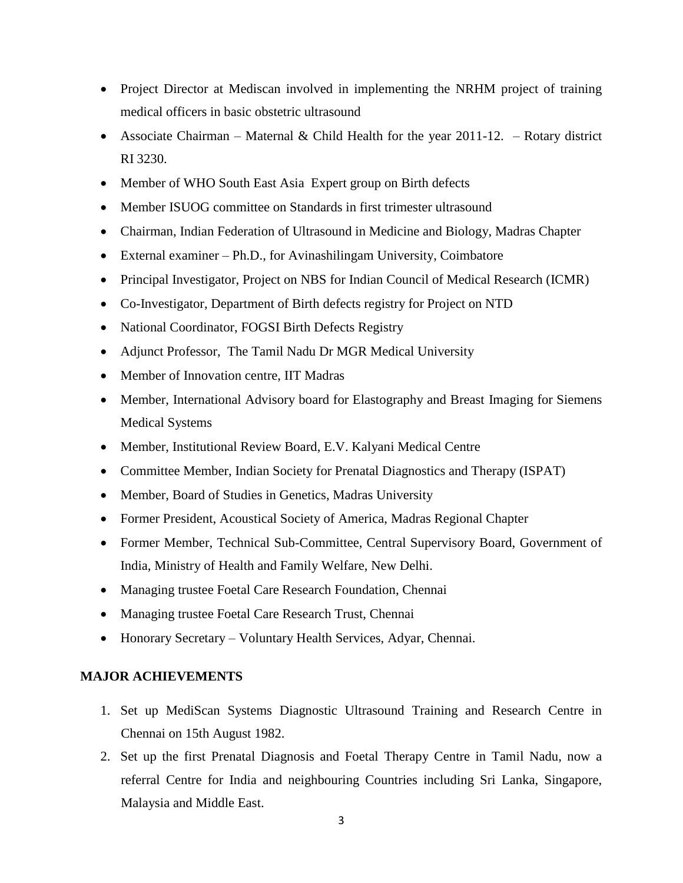- Project Director at Mediscan involved in implementing the NRHM project of training medical officers in basic obstetric ultrasound
- Associate Chairman Maternal & Child Health for the year  $2011-12$ . Rotary district RI 3230.
- Member of WHO South East Asia Expert group on Birth defects
- Member ISUOG committee on Standards in first trimester ultrasound
- Chairman, Indian Federation of Ultrasound in Medicine and Biology, Madras Chapter
- External examiner Ph.D., for Avinashilingam University, Coimbatore
- Principal Investigator, Project on NBS for Indian Council of Medical Research (ICMR)
- Co-Investigator, Department of Birth defects registry for Project on NTD
- National Coordinator, FOGSI Birth Defects Registry
- Adjunct Professor, The Tamil Nadu Dr MGR Medical University
- Member of Innovation centre, IIT Madras
- Member, International Advisory board for Elastography and Breast Imaging for Siemens Medical Systems
- Member, Institutional Review Board, E.V. Kalyani Medical Centre
- Committee Member, Indian Society for Prenatal Diagnostics and Therapy (ISPAT)
- Member, Board of Studies in Genetics, Madras University
- Former President, Acoustical Society of America, Madras Regional Chapter
- Former Member, Technical Sub-Committee, Central Supervisory Board, Government of India, Ministry of Health and Family Welfare, New Delhi.
- Managing trustee Foetal Care Research Foundation, Chennai
- Managing trustee Foetal Care Research Trust, Chennai
- Honorary Secretary Voluntary Health Services, Adyar, Chennai.

## **MAJOR ACHIEVEMENTS**

- 1. Set up MediScan Systems Diagnostic Ultrasound Training and Research Centre in Chennai on 15th August 1982.
- 2. Set up the first Prenatal Diagnosis and Foetal Therapy Centre in Tamil Nadu, now a referral Centre for India and neighbouring Countries including Sri Lanka, Singapore, Malaysia and Middle East.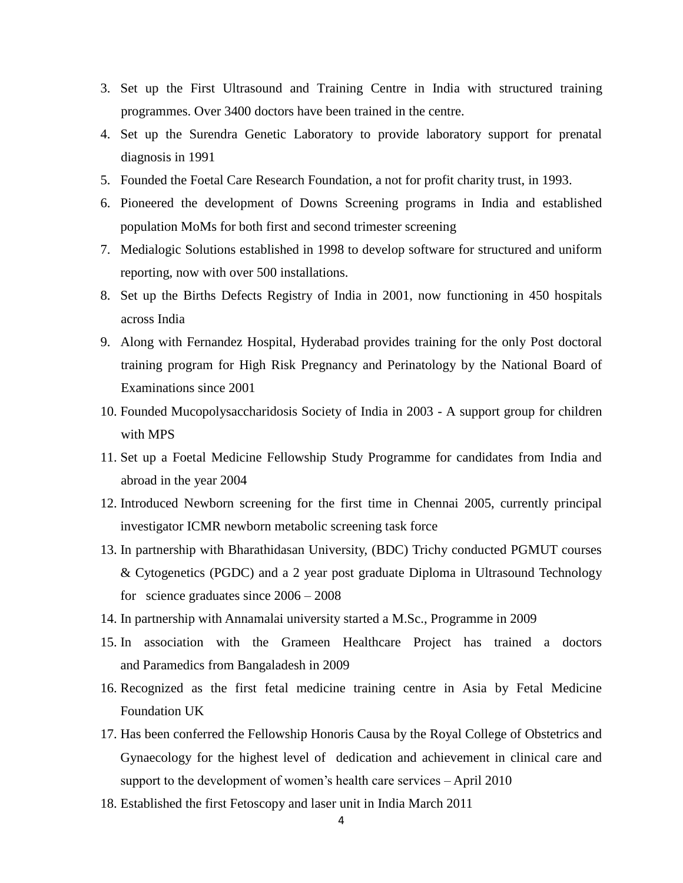- 3. Set up the First Ultrasound and Training Centre in India with structured training programmes. Over 3400 doctors have been trained in the centre.
- 4. Set up the Surendra Genetic Laboratory to provide laboratory support for prenatal diagnosis in 1991
- 5. Founded the Foetal Care Research Foundation, a not for profit charity trust, in 1993.
- 6. Pioneered the development of Downs Screening programs in India and established population MoMs for both first and second trimester screening
- 7. Medialogic Solutions established in 1998 to develop software for structured and uniform reporting, now with over 500 installations.
- 8. Set up the Births Defects Registry of India in 2001, now functioning in 450 hospitals across India
- 9. Along with Fernandez Hospital, Hyderabad provides training for the only Post doctoral training program for High Risk Pregnancy and Perinatology by the National Board of Examinations since 2001
- 10. Founded Mucopolysaccharidosis Society of India in 2003 A support group for children with MPS
- 11. Set up a Foetal Medicine Fellowship Study Programme for candidates from India and abroad in the year 2004
- 12. Introduced Newborn screening for the first time in Chennai 2005, currently principal investigator ICMR newborn metabolic screening task force
- 13. In partnership with Bharathidasan University, (BDC) Trichy conducted PGMUT courses & Cytogenetics (PGDC) and a 2 year post graduate Diploma in Ultrasound Technology for science graduates since 2006 – 2008
- 14. In partnership with Annamalai university started a M.Sc., Programme in 2009
- 15. In association with the Grameen Healthcare Project has trained a doctors and Paramedics from Bangaladesh in 2009
- 16. Recognized as the first fetal medicine training centre in Asia by Fetal Medicine Foundation UK
- 17. Has been conferred the Fellowship Honoris Causa by the Royal College of Obstetrics and Gynaecology for the highest level of dedication and achievement in clinical care and support to the development of women's health care services – April 2010
- 18. Established the first Fetoscopy and laser unit in India March 2011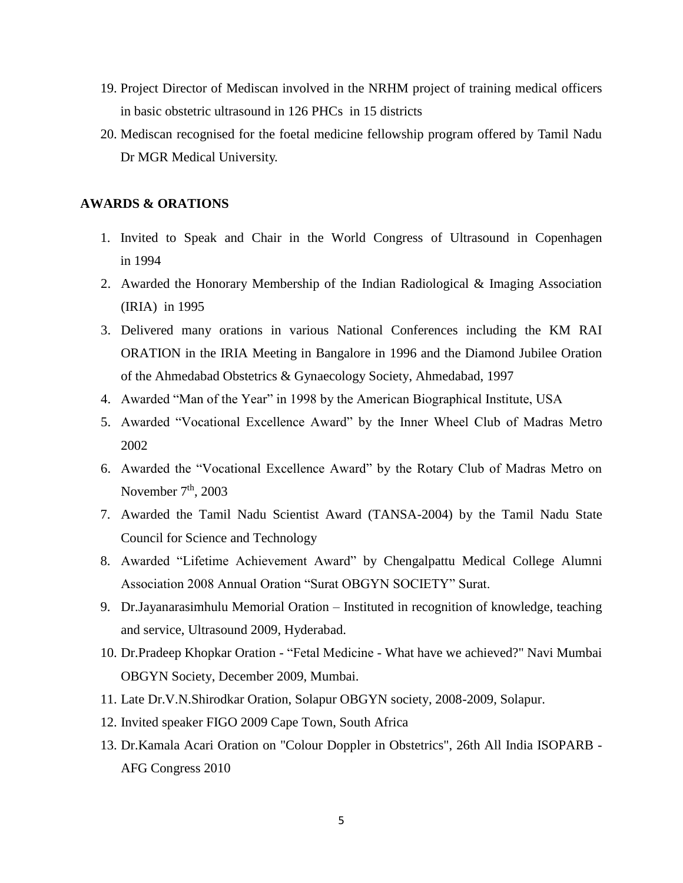- 19. Project Director of Mediscan involved in the NRHM project of training medical officers in basic obstetric ultrasound in 126 PHCs in 15 districts
- 20. Mediscan recognised for the foetal medicine fellowship program offered by Tamil Nadu Dr MGR Medical University.

#### **AWARDS & ORATIONS**

- 1. Invited to Speak and Chair in the World Congress of Ultrasound in Copenhagen in 1994
- 2. Awarded the Honorary Membership of the Indian Radiological & Imaging Association (IRIA) in 1995
- 3. Delivered many orations in various National Conferences including the KM RAI ORATION in the IRIA Meeting in Bangalore in 1996 and the Diamond Jubilee Oration of the Ahmedabad Obstetrics & Gynaecology Society, Ahmedabad, 1997
- 4. Awarded "Man of the Year" in 1998 by the American Biographical Institute, USA
- 5. Awarded "Vocational Excellence Award" by the Inner Wheel Club of Madras Metro 2002
- 6. Awarded the "Vocational Excellence Award" by the Rotary Club of Madras Metro on November  $7<sup>th</sup>$ , 2003
- 7. Awarded the Tamil Nadu Scientist Award (TANSA-2004) by the Tamil Nadu State Council for Science and Technology
- 8. Awarded "Lifetime Achievement Award" by Chengalpattu Medical College Alumni Association 2008 Annual Oration "Surat OBGYN SOCIETY" Surat.
- 9. Dr.Jayanarasimhulu Memorial Oration Instituted in recognition of knowledge, teaching and service, Ultrasound 2009, Hyderabad.
- 10. Dr.Pradeep Khopkar Oration "Fetal Medicine What have we achieved?" Navi Mumbai OBGYN Society, December 2009, Mumbai.
- 11. Late Dr.V.N.Shirodkar Oration, Solapur OBGYN society, 2008-2009, Solapur.
- 12. Invited speaker FIGO 2009 Cape Town, South Africa
- 13. Dr.Kamala Acari Oration on "Colour Doppler in Obstetrics", 26th All India ISOPARB AFG Congress 2010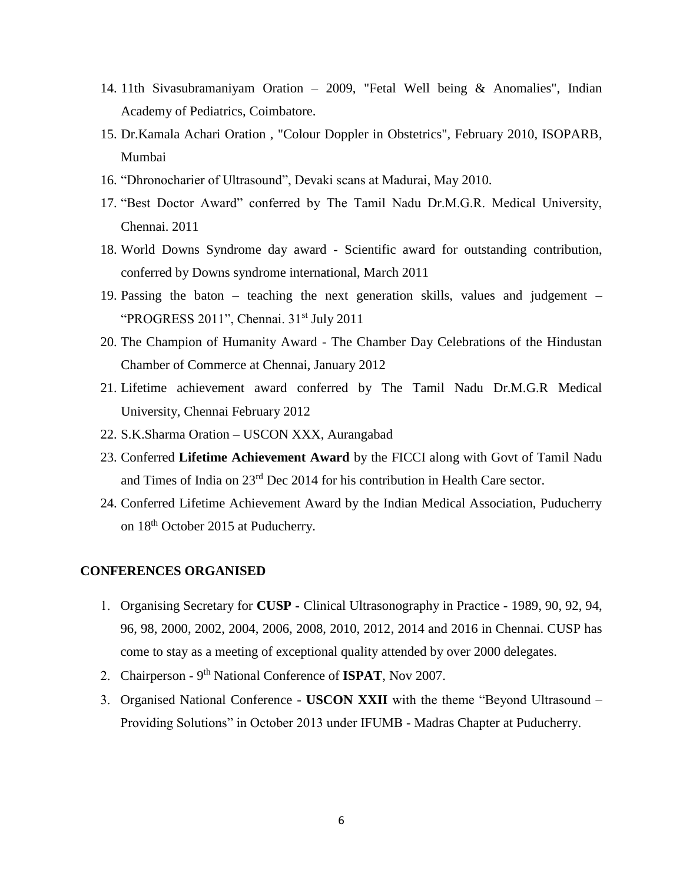- 14. 11th Sivasubramaniyam Oration 2009, "Fetal Well being & Anomalies", Indian Academy of Pediatrics, Coimbatore.
- 15. Dr.Kamala Achari Oration , "Colour Doppler in Obstetrics", February 2010, ISOPARB, Mumbai
- 16. "Dhronocharier of Ultrasound", Devaki scans at Madurai, May 2010.
- 17. "Best Doctor Award" conferred by The Tamil Nadu Dr.M.G.R. Medical University, Chennai. 2011
- 18. World Downs Syndrome day award Scientific award for outstanding contribution, conferred by Downs syndrome international, March 2011
- 19. Passing the baton teaching the next generation skills, values and judgement "PROGRESS 2011", Chennai. 31<sup>st</sup> July 2011
- 20. The Champion of Humanity Award The Chamber Day Celebrations of the Hindustan Chamber of Commerce at Chennai, January 2012
- 21. Lifetime achievement award conferred by The Tamil Nadu Dr.M.G.R Medical University, Chennai February 2012
- 22. S.K.Sharma Oration USCON XXX, Aurangabad
- 23. Conferred **Lifetime Achievement Award** by the FICCI along with Govt of Tamil Nadu and Times of India on 23rd Dec 2014 for his contribution in Health Care sector.
- 24. Conferred Lifetime Achievement Award by the Indian Medical Association, Puducherry on 18th October 2015 at Puducherry.

# **CONFERENCES ORGANISED**

- Organising Secretary for **CUSP -** Clinical Ultrasonography in Practice 1989, 90, 92, 94, 96, 98, 2000, 2002, 2004, 2006, 2008, 2010, 2012, 2014 and 2016 in Chennai. CUSP has come to stay as a meeting of exceptional quality attended by over 2000 delegates.
- 2. Chairperson 9<sup>th</sup> National Conference of **ISPAT**, Nov 2007.
- Organised National Conference **USCON XXII** with the theme "Beyond Ultrasound Providing Solutions" in October 2013 under IFUMB - Madras Chapter at Puducherry.